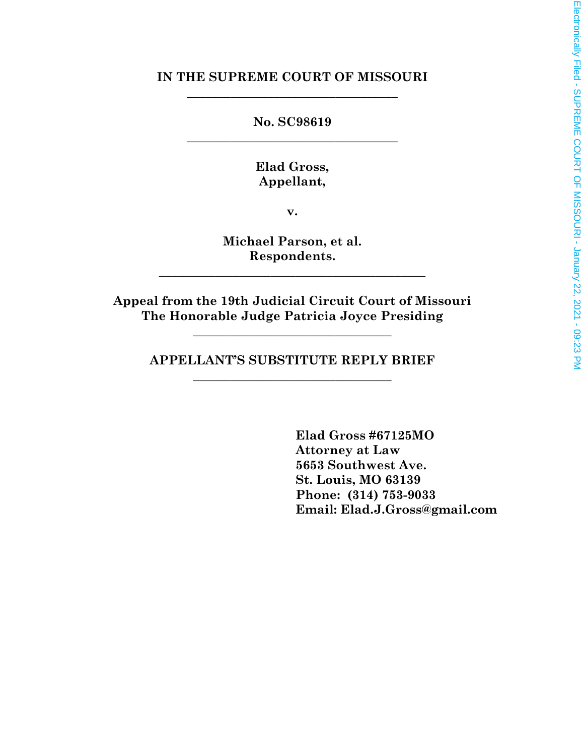#### **IN THE SUPREME COURT OF MISSOURI** \_\_\_\_\_\_\_\_\_\_\_\_\_\_\_\_\_\_\_\_\_\_\_\_\_\_\_\_\_\_\_\_\_\_

**No. SC98619** \_\_\_\_\_\_\_\_\_\_\_\_\_\_\_\_\_\_\_\_\_\_\_\_\_\_\_\_\_\_\_\_\_\_

> **Elad Gross, Appellant,**

> > **v.**

**Michael Parson, et al. Respondents.**

\_\_\_\_\_\_\_\_\_\_\_\_\_\_\_\_\_\_\_\_\_\_\_\_\_\_\_\_\_\_\_\_\_\_\_\_\_\_\_\_\_\_\_

**Appeal from the 19th Judicial Circuit Court of Missouri The Honorable Judge Patricia Joyce Presiding**

**\_\_\_\_\_\_\_\_\_\_\_\_\_\_\_\_\_\_\_\_\_\_\_\_\_\_\_\_\_\_\_\_**

**APPELLANT'S SUBSTITUTE REPLY BRIEF** \_\_\_\_\_\_\_\_\_\_\_\_\_\_\_\_\_\_\_\_\_\_\_\_\_\_\_\_\_\_\_\_

> **Elad Gross #67125MO Attorney at Law 5653 Southwest Ave. St. Louis, MO 63139 Phone: (314) 753-9033 Email: Elad.J.Gross@gmail.com**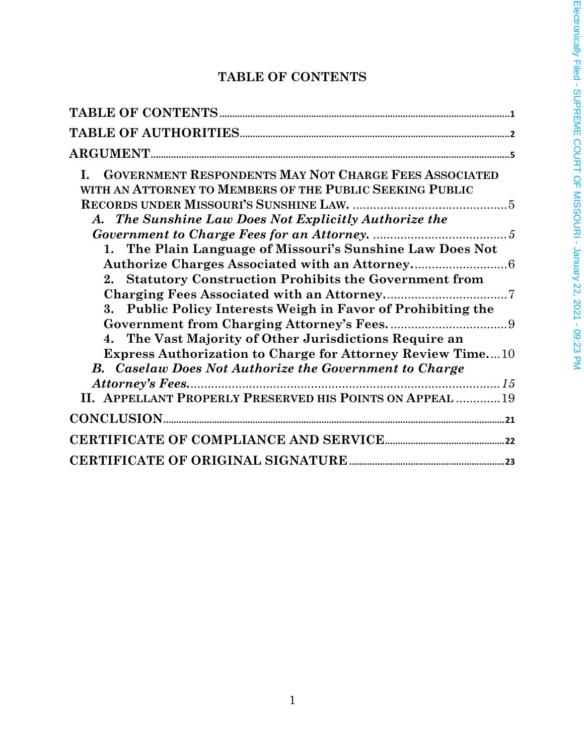## **TABLE OF CONTENTS**

| <b>GOVERNMENT RESPONDENTS MAY NOT CHARGE FEES ASSOCIATED</b><br>L.<br>WITH AN ATTORNEY TO MEMBERS OF THE PUBLIC SEEKING PUBLIC<br>A. The Sunshine Law Does Not Explicitly Authorize the<br>1. The Plain Language of Missouri's Sunshine Law Does Not<br>2. Statutory Construction Prohibits the Government from<br>3. Public Policy Interests Weigh in Favor of Prohibiting the<br>4. The Vast Majority of Other Jurisdictions Require an |
|-------------------------------------------------------------------------------------------------------------------------------------------------------------------------------------------------------------------------------------------------------------------------------------------------------------------------------------------------------------------------------------------------------------------------------------------|
| <b>Express Authorization to Charge for Attorney Review Time10</b>                                                                                                                                                                                                                                                                                                                                                                         |
| <b>B.</b> Caselaw Does Not Authorize the Government to Charge<br>II. APPELLANT PROPERLY PRESERVED HIS POINTS ON APPEAL  19                                                                                                                                                                                                                                                                                                                |
|                                                                                                                                                                                                                                                                                                                                                                                                                                           |
|                                                                                                                                                                                                                                                                                                                                                                                                                                           |
|                                                                                                                                                                                                                                                                                                                                                                                                                                           |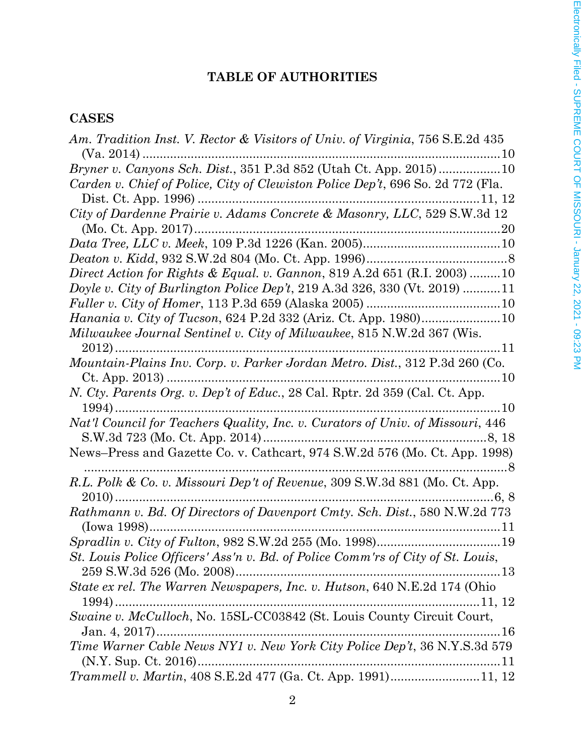## **TABLE OF AUTHORITIES**

## **CASES**

| Am. Tradition Inst. V. Rector & Visitors of Univ. of Virginia, 756 S.E.2d 435                       |
|-----------------------------------------------------------------------------------------------------|
|                                                                                                     |
|                                                                                                     |
| Carden v. Chief of Police, City of Clewiston Police Dep't, 696 So. 2d 772 (Fla.                     |
|                                                                                                     |
| City of Dardenne Prairie v. Adams Concrete & Masonry, LLC, 529 S.W.3d 12                            |
|                                                                                                     |
|                                                                                                     |
| Direct Action for Rights & Equal. v. Gannon, 819 A.2d 651 (R.I. 2003) 10                            |
| Doyle v. City of Burlington Police Dep't, 219 A.3d 326, 330 (Vt. 2019) 11                           |
|                                                                                                     |
| Hanania v. City of Tucson, 624 P.2d 332 (Ariz. Ct. App. 1980)10                                     |
| Milwaukee Journal Sentinel v. City of Milwaukee, 815 N.W.2d 367 (Wis.                               |
|                                                                                                     |
|                                                                                                     |
|                                                                                                     |
| Nat'l Council for Teachers Quality, Inc. v. Curators of Univ. of Missouri, 446                      |
| News-Press and Gazette Co. v. Cathcart, 974 S.W.2d 576 (Mo. Ct. App. 1998)                          |
| R.L. Polk & Co. v. Missouri Dep't of Revenue, 309 S.W.3d 881 (Mo. Ct. App.                          |
| Rathmann v. Bd. Of Directors of Davenport Cmty. Sch. Dist., 580 N.W.2d 773                          |
|                                                                                                     |
| St. Louis Police Officers' Ass'n v. Bd. of Police Comm'rs of City of St. Louis,                     |
| State ex rel. The Warren Newspapers, Inc. v. Hutson, 640 N.E.2d 174 (Ohio                           |
| Swaine v. McCulloch, No. 15SL-CC03842 (St. Louis County Circuit Court,                              |
| $\dots 16$                                                                                          |
| Time Warner Cable News NY1 v. New York City Police Dep't, 36 N.Y.S.3d 579<br>$(N.Y. Sup. Ct. 2016)$ |
| Trammell v. Martin, 408 S.E.2d 477 (Ga. Ct. App. 1991)11, 12                                        |
|                                                                                                     |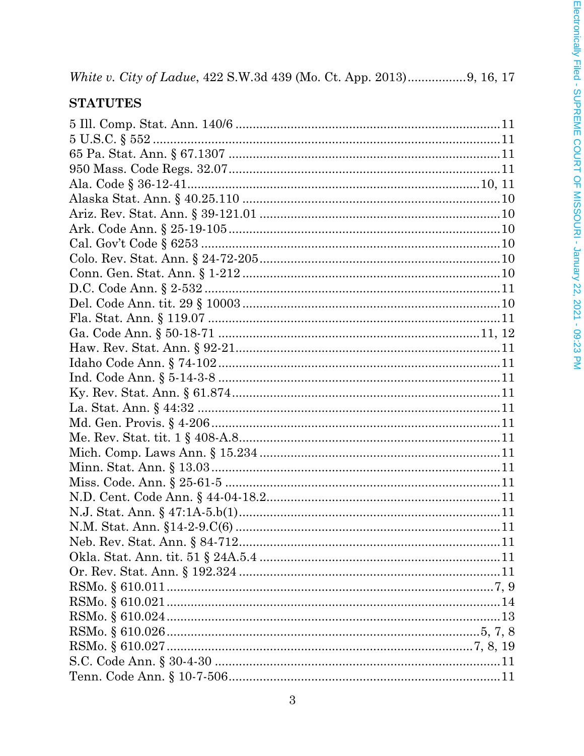|--|--|--|--|

## **STATUTES**

| Neb. Rev. Stat. Ann. § 84-712 | . 1 1 |
|-------------------------------|-------|
|                               |       |
|                               |       |
|                               |       |
|                               |       |
|                               |       |
|                               |       |
|                               |       |
|                               |       |
|                               |       |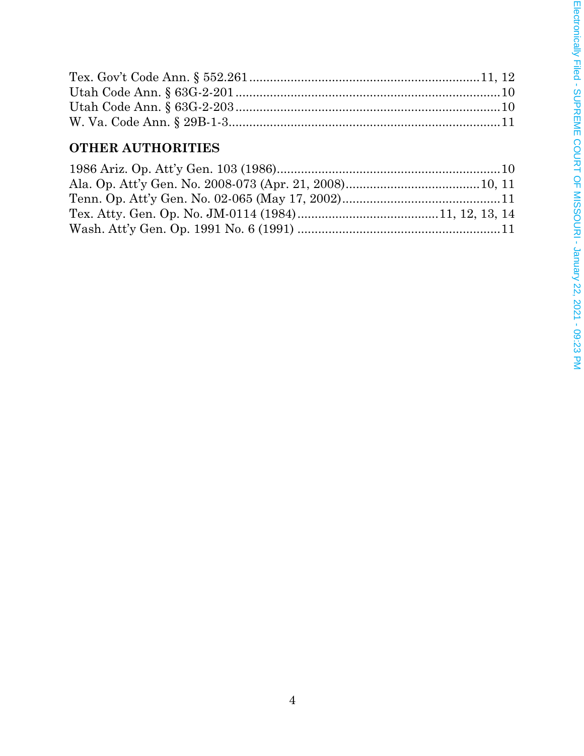## **OTHER AUTHORITIES**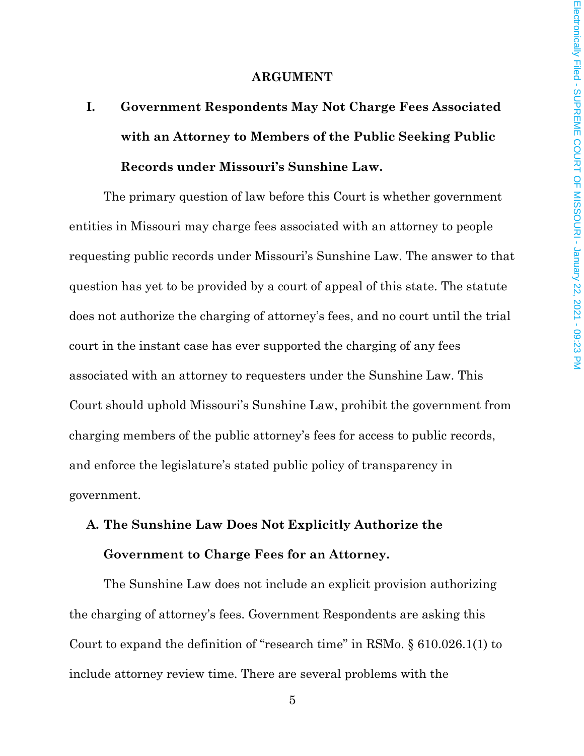#### **ARGUMENT**

**I. Government Respondents May Not Charge Fees Associated with an Attorney to Members of the Public Seeking Public Records under Missouri's Sunshine Law.**

The primary question of law before this Court is whether government entities in Missouri may charge fees associated with an attorney to people requesting public records under Missouri's Sunshine Law. The answer to that question has yet to be provided by a court of appeal of this state. The statute does not authorize the charging of attorney's fees, and no court until the trial court in the instant case has ever supported the charging of any fees associated with an attorney to requesters under the Sunshine Law. This Court should uphold Missouri's Sunshine Law, prohibit the government from charging members of the public attorney's fees for access to public records, and enforce the legislature's stated public policy of transparency in government.

# **A. The Sunshine Law Does Not Explicitly Authorize the Government to Charge Fees for an Attorney.**

The Sunshine Law does not include an explicit provision authorizing the charging of attorney's fees. Government Respondents are asking this Court to expand the definition of "research time" in RSMo. § 610.026.1(1) to include attorney review time. There are several problems with the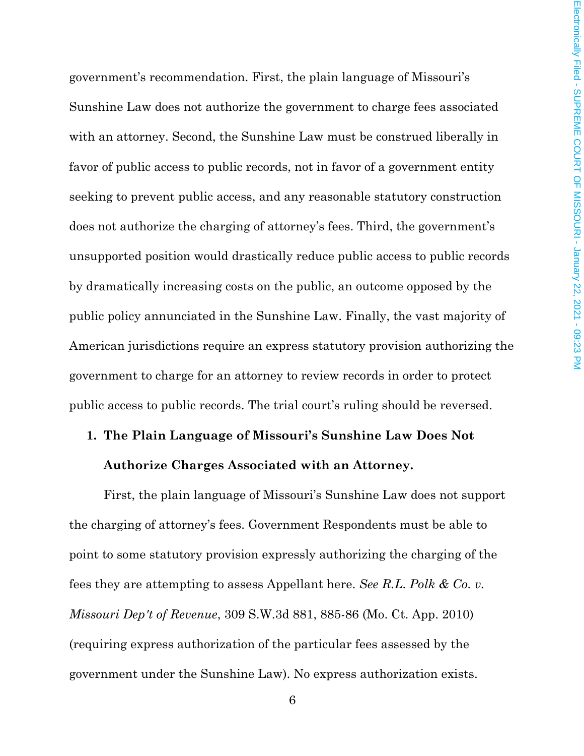government's recommendation. First, the plain language of Missouri's Sunshine Law does not authorize the government to charge fees associated with an attorney. Second, the Sunshine Law must be construed liberally in favor of public access to public records, not in favor of a government entity seeking to prevent public access, and any reasonable statutory construction does not authorize the charging of attorney's fees. Third, the government's unsupported position would drastically reduce public access to public records by dramatically increasing costs on the public, an outcome opposed by the public policy annunciated in the Sunshine Law. Finally, the vast majority of American jurisdictions require an express statutory provision authorizing the government to charge for an attorney to review records in order to protect public access to public records. The trial court's ruling should be reversed.

# **1. The Plain Language of Missouri's Sunshine Law Does Not Authorize Charges Associated with an Attorney.**

First, the plain language of Missouri's Sunshine Law does not support the charging of attorney's fees. Government Respondents must be able to point to some statutory provision expressly authorizing the charging of the fees they are attempting to assess Appellant here. *See R.L. Polk & Co. v. Missouri Dep't of Revenue*, 309 S.W.3d 881, 885-86 (Mo. Ct. App. 2010) (requiring express authorization of the particular fees assessed by the government under the Sunshine Law). No express authorization exists.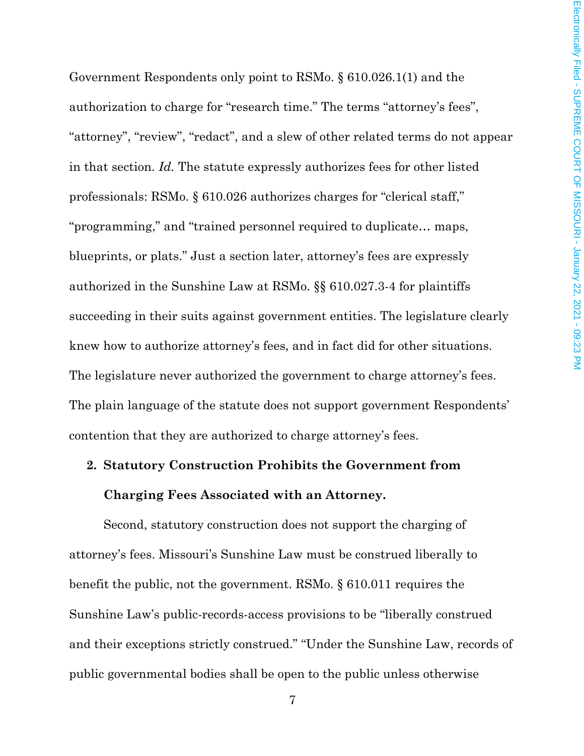Government Respondents only point to RSMo. § 610.026.1(1) and the authorization to charge for "research time." The terms "attorney's fees", "attorney", "review", "redact", and a slew of other related terms do not appear in that section. *Id.* The statute expressly authorizes fees for other listed professionals: RSMo. § 610.026 authorizes charges for "clerical staff," "programming," and "trained personnel required to duplicate… maps, blueprints, or plats." Just a section later, attorney's fees are expressly authorized in the Sunshine Law at RSMo. §§ 610.027.3-4 for plaintiffs succeeding in their suits against government entities. The legislature clearly knew how to authorize attorney's fees, and in fact did for other situations. The legislature never authorized the government to charge attorney's fees. The plain language of the statute does not support government Respondents' contention that they are authorized to charge attorney's fees.

#### **2. Statutory Construction Prohibits the Government from**

#### **Charging Fees Associated with an Attorney.**

Second, statutory construction does not support the charging of attorney's fees. Missouri's Sunshine Law must be construed liberally to benefit the public, not the government. RSMo. § 610.011 requires the Sunshine Law's public-records-access provisions to be "liberally construed and their exceptions strictly construed." "Under the Sunshine Law, records of public governmental bodies shall be open to the public unless otherwise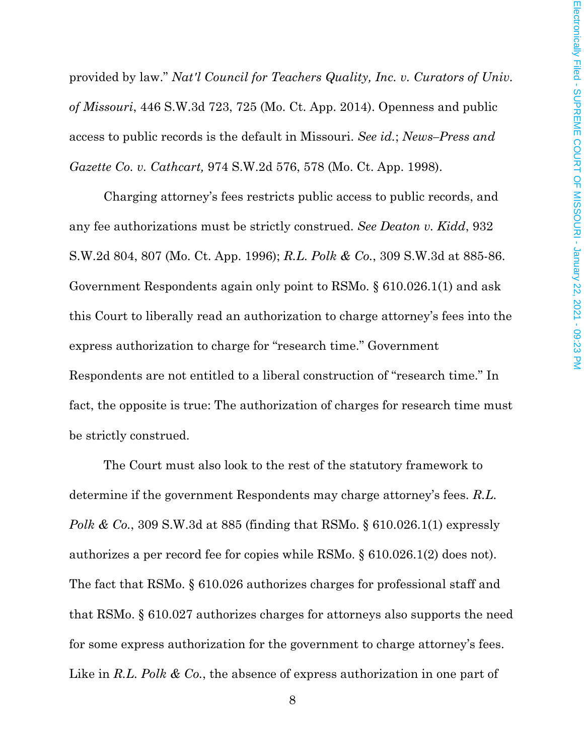provided by law." *Nat'l Council for Teachers Quality, Inc. v. Curators of Univ. of Missouri*, 446 S.W.3d 723, 725 (Mo. Ct. App. 2014). Openness and public access to public records is the default in Missouri. *See id.*; *News–Press and Gazette Co. v. Cathcart,* 974 S.W.2d 576, 578 (Mo. Ct. App. 1998).

Charging attorney's fees restricts public access to public records, and any fee authorizations must be strictly construed. *See Deaton v. Kidd*, 932 S.W.2d 804, 807 (Mo. Ct. App. 1996); *R.L. Polk & Co.*, 309 S.W.3d at 885-86. Government Respondents again only point to RSMo. § 610.026.1(1) and ask this Court to liberally read an authorization to charge attorney's fees into the express authorization to charge for "research time." Government Respondents are not entitled to a liberal construction of "research time." In fact, the opposite is true: The authorization of charges for research time must be strictly construed.

The Court must also look to the rest of the statutory framework to determine if the government Respondents may charge attorney's fees. *R.L. Polk & Co.*, 309 S.W.3d at 885 (finding that RSMo. § 610.026.1(1) expressly authorizes a per record fee for copies while RSMo. § 610.026.1(2) does not). The fact that RSMo. § 610.026 authorizes charges for professional staff and that RSMo. § 610.027 authorizes charges for attorneys also supports the need for some express authorization for the government to charge attorney's fees. Like in *R.L. Polk & Co.*, the absence of express authorization in one part of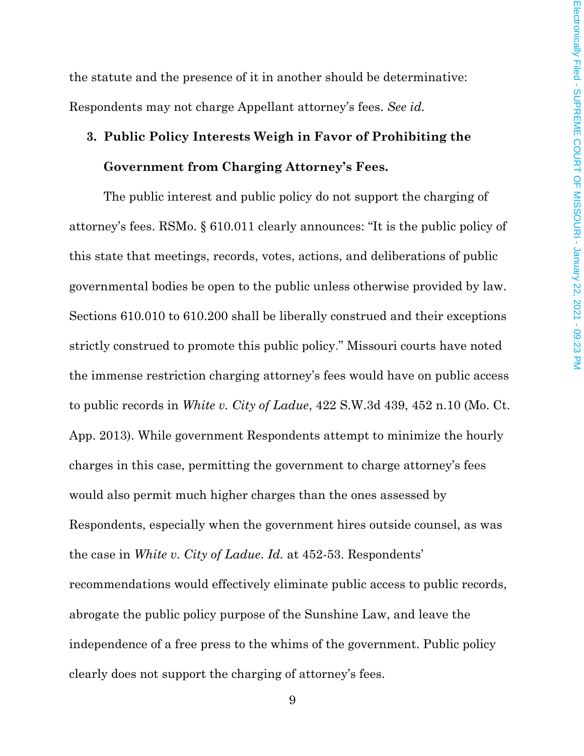the statute and the presence of it in another should be determinative: Respondents may not charge Appellant attorney's fees. *See id.*

# **3. Public Policy Interests Weigh in Favor of Prohibiting the Government from Charging Attorney's Fees.**

The public interest and public policy do not support the charging of attorney's fees. RSMo. § 610.011 clearly announces: "It is the public policy of this state that meetings, records, votes, actions, and deliberations of public governmental bodies be open to the public unless otherwise provided by law. Sections 610.010 to 610.200 shall be liberally construed and their exceptions strictly construed to promote this public policy." Missouri courts have noted the immense restriction charging attorney's fees would have on public access to public records in *White v. City of Ladue*, 422 S.W.3d 439, 452 n.10 (Mo. Ct. App. 2013). While government Respondents attempt to minimize the hourly charges in this case, permitting the government to charge attorney's fees would also permit much higher charges than the ones assessed by Respondents, especially when the government hires outside counsel, as was the case in *White v. City of Ladue*. *Id.* at 452-53. Respondents' recommendations would effectively eliminate public access to public records, abrogate the public policy purpose of the Sunshine Law, and leave the independence of a free press to the whims of the government. Public policy clearly does not support the charging of attorney's fees.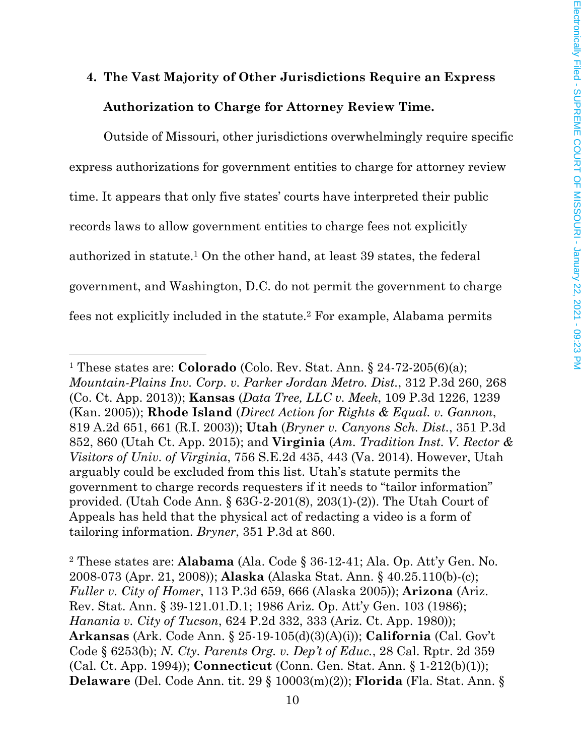# **4. The Vast Majority of Other Jurisdictions Require an Express Authorization to Charge for Attorney Review Time.**

Outside of Missouri, other jurisdictions overwhelmingly require specific express authorizations for government entities to charge for attorney review time. It appears that only five states' courts have interpreted their public records laws to allow government entities to charge fees not explicitly authorized in statute.1 On the other hand, at least 39 states, the federal government, and Washington, D.C. do not permit the government to charge fees not explicitly included in the statute.2 For example, Alabama permits

<sup>2</sup> These states are: **Alabama** (Ala. Code § 36-12-41; Ala. Op. Att'y Gen. No. 2008-073 (Apr. 21, 2008)); **Alaska** (Alaska Stat. Ann. § 40.25.110(b)-(c); *Fuller v. City of Homer*, 113 P.3d 659, 666 (Alaska 2005)); **Arizona** (Ariz. Rev. Stat. Ann. § 39-121.01.D.1; 1986 Ariz. Op. Att'y Gen. 103 (1986); *Hanania v. City of Tucson*, 624 P.2d 332, 333 (Ariz. Ct. App. 1980)); **Arkansas** (Ark. Code Ann. § 25-19-105(d)(3)(A)(i)); **California** (Cal. Gov't Code § 6253(b); *N. Cty. Parents Org. v. Dep't of Educ.*, 28 Cal. Rptr. 2d 359 (Cal. Ct. App. 1994)); **Connecticut** (Conn. Gen. Stat. Ann. § 1-212(b)(1)); **Delaware** (Del. Code Ann. tit. 29 § 10003(m)(2)); **Florida** (Fla. Stat. Ann. §

<sup>1</sup> These states are: **Colorado** (Colo. Rev. Stat. Ann. § 24-72-205(6)(a); *Mountain-Plains Inv. Corp. v. Parker Jordan Metro. Dist.*, 312 P.3d 260, 268 (Co. Ct. App. 2013)); **Kansas** (*Data Tree, LLC v. Meek*, 109 P.3d 1226, 1239 (Kan. 2005)); **Rhode Island** (*Direct Action for Rights & Equal. v. Gannon*, 819 A.2d 651, 661 (R.I. 2003)); **Utah** (*Bryner v. Canyons Sch. Dist.*, 351 P.3d 852, 860 (Utah Ct. App. 2015); and **Virginia** (*Am. Tradition Inst. V. Rector & Visitors of Univ. of Virginia*, 756 S.E.2d 435, 443 (Va. 2014). However, Utah arguably could be excluded from this list. Utah's statute permits the government to charge records requesters if it needs to "tailor information" provided. (Utah Code Ann. § 63G-2-201(8), 203(1)-(2)). The Utah Court of Appeals has held that the physical act of redacting a video is a form of tailoring information. *Bryner*, 351 P.3d at 860.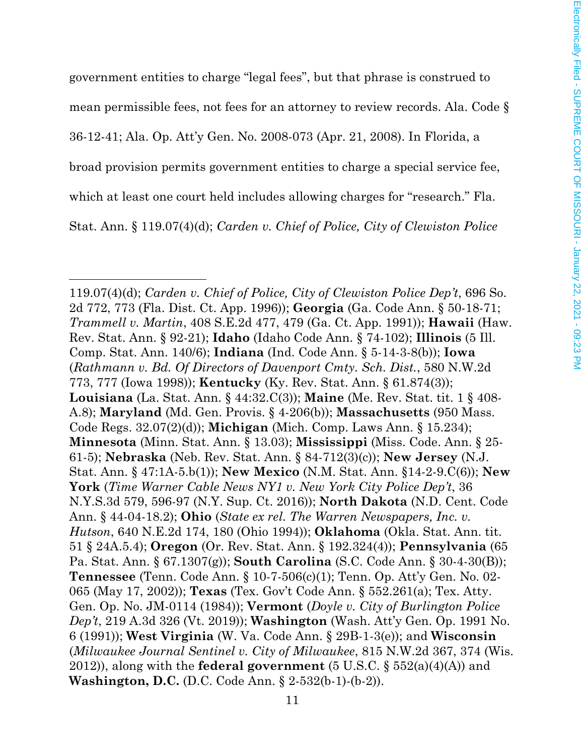government entities to charge "legal fees", but that phrase is construed to mean permissible fees, not fees for an attorney to review records. Ala. Code § 36-12-41; Ala. Op. Att'y Gen. No. 2008-073 (Apr. 21, 2008). In Florida, a broad provision permits government entities to charge a special service fee, which at least one court held includes allowing charges for "research." Fla. Stat. Ann. § 119.07(4)(d); *Carden v. Chief of Police, City of Clewiston Police* 

<sup>119.07(4)(</sup>d); *Carden v. Chief of Police, City of Clewiston Police Dep't*, 696 So. 2d 772, 773 (Fla. Dist. Ct. App. 1996)); **Georgia** (Ga. Code Ann. § 50-18-71; *Trammell v. Martin*, 408 S.E.2d 477, 479 (Ga. Ct. App. 1991)); **Hawaii** (Haw. Rev. Stat. Ann. § 92-21); **Idaho** (Idaho Code Ann. § 74-102); **Illinois** (5 Ill. Comp. Stat. Ann. 140/6); **Indiana** (Ind. Code Ann. § 5-14-3-8(b)); **Iowa** (*Rathmann v. Bd. Of Directors of Davenport Cmty. Sch. Dist.*, 580 N.W.2d 773, 777 (Iowa 1998)); **Kentucky** (Ky. Rev. Stat. Ann. § 61.874(3)); **Louisiana** (La. Stat. Ann. § 44:32.C(3)); **Maine** (Me. Rev. Stat. tit. 1 § 408- A.8); **Maryland** (Md. Gen. Provis. § 4-206(b)); **Massachusetts** (950 Mass. Code Regs. 32.07(2)(d)); **Michigan** (Mich. Comp. Laws Ann. § 15.234); **Minnesota** (Minn. Stat. Ann. § 13.03); **Mississippi** (Miss. Code. Ann. § 25- 61-5); **Nebraska** (Neb. Rev. Stat. Ann. § 84-712(3)(c)); **New Jersey** (N.J. Stat. Ann. § 47:1A-5.b(1)); **New Mexico** (N.M. Stat. Ann. §14-2-9.C(6)); **New York** (*Time Warner Cable News NY1 v. New York City Police Dep't*, 36 N.Y.S.3d 579, 596-97 (N.Y. Sup. Ct. 2016)); **North Dakota** (N.D. Cent. Code Ann. § 44-04-18.2); **Ohio** (*State ex rel. The Warren Newspapers, Inc. v. Hutson*, 640 N.E.2d 174, 180 (Ohio 1994)); **Oklahoma** (Okla. Stat. Ann. tit. 51 § 24A.5.4); **Oregon** (Or. Rev. Stat. Ann. § 192.324(4)); **Pennsylvania** (65 Pa. Stat. Ann. § 67.1307(g)); **South Carolina** (S.C. Code Ann. § 30-4-30(B)); **Tennessee** (Tenn. Code Ann. § 10-7-506(c)(1); Tenn. Op. Att'y Gen. No. 02- 065 (May 17, 2002)); **Texas** (Tex. Gov't Code Ann. § 552.261(a); Tex. Atty. Gen. Op. No. JM-0114 (1984)); **Vermont** (*Doyle v. City of Burlington Police Dep't*, 219 A.3d 326 (Vt. 2019)); **Washington** (Wash. Att'y Gen. Op. 1991 No. 6 (1991)); **West Virginia** (W. Va. Code Ann. § 29B-1-3(e)); and **Wisconsin** (*Milwaukee Journal Sentinel v. City of Milwaukee*, 815 N.W.2d 367, 374 (Wis. 2012)), along with the **federal government** (5 U.S.C. § 552(a)(4)(A)) and **Washington, D.C.** (D.C. Code Ann. § 2-532(b-1)-(b-2)).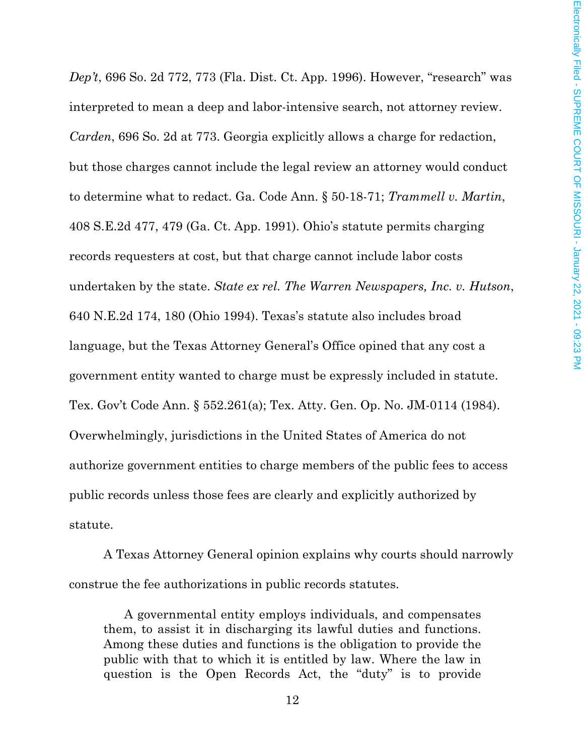*Dep't*, 696 So. 2d 772, 773 (Fla. Dist. Ct. App. 1996). However, "research" was interpreted to mean a deep and labor-intensive search, not attorney review. *Carden*, 696 So. 2d at 773. Georgia explicitly allows a charge for redaction, but those charges cannot include the legal review an attorney would conduct to determine what to redact. Ga. Code Ann. § 50-18-71; *Trammell v. Martin*, 408 S.E.2d 477, 479 (Ga. Ct. App. 1991). Ohio's statute permits charging records requesters at cost, but that charge cannot include labor costs undertaken by the state. *State ex rel. The Warren Newspapers, Inc. v. Hutson*, 640 N.E.2d 174, 180 (Ohio 1994). Texas's statute also includes broad language, but the Texas Attorney General's Office opined that any cost a government entity wanted to charge must be expressly included in statute. Tex. Gov't Code Ann. § 552.261(a); Tex. Atty. Gen. Op. No. JM-0114 (1984). Overwhelmingly, jurisdictions in the United States of America do not authorize government entities to charge members of the public fees to access public records unless those fees are clearly and explicitly authorized by statute.

A Texas Attorney General opinion explains why courts should narrowly construe the fee authorizations in public records statutes.

A governmental entity employs individuals, and compensates them, to assist it in discharging its lawful duties and functions. Among these duties and functions is the obligation to provide the public with that to which it is entitled by law. Where the law in question is the Open Records Act, the "duty" is to provide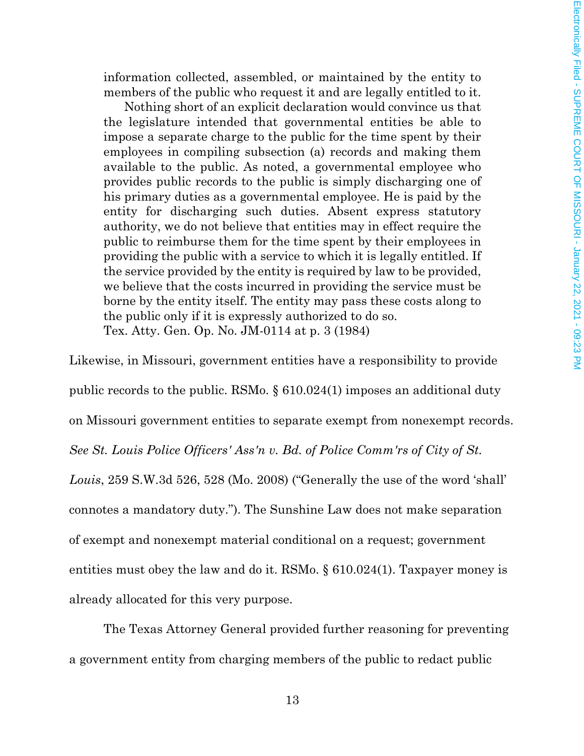information collected, assembled, or maintained by the entity to members of the public who request it and are legally entitled to it.

Nothing short of an explicit declaration would convince us that the legislature intended that governmental entities be able to impose a separate charge to the public for the time spent by their employees in compiling subsection (a) records and making them available to the public. As noted, a governmental employee who provides public records to the public is simply discharging one of his primary duties as a governmental employee. He is paid by the entity for discharging such duties. Absent express statutory authority, we do not believe that entities may in effect require the public to reimburse them for the time spent by their employees in providing the public with a service to which it is legally entitled. If the service provided by the entity is required by law to be provided, we believe that the costs incurred in providing the service must be borne by the entity itself. The entity may pass these costs along to the public only if it is expressly authorized to do so. Tex. Atty. Gen. Op. No. JM-0114 at p. 3 (1984)

Likewise, in Missouri, government entities have a responsibility to provide public records to the public. RSMo. § 610.024(1) imposes an additional duty on Missouri government entities to separate exempt from nonexempt records. *See St. Louis Police Officers' Ass'n v. Bd. of Police Comm'rs of City of St. Louis*, 259 S.W.3d 526, 528 (Mo. 2008) ("Generally the use of the word 'shall' connotes a mandatory duty."). The Sunshine Law does not make separation of exempt and nonexempt material conditional on a request; government entities must obey the law and do it. RSMo. § 610.024(1). Taxpayer money is already allocated for this very purpose.

The Texas Attorney General provided further reasoning for preventing a government entity from charging members of the public to redact public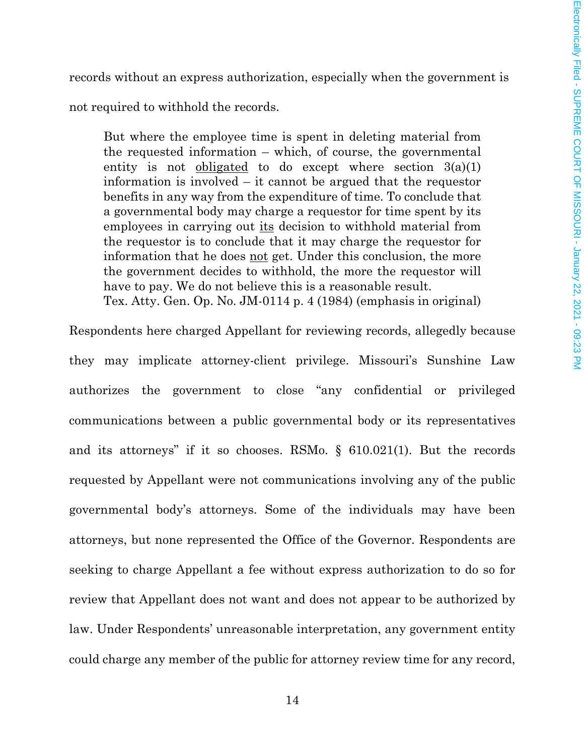records without an express authorization, especially when the government is

not required to withhold the records.

But where the employee time is spent in deleting material from the requested information – which, of course, the governmental entity is not <u>obligated</u> to do except where section  $3(a)(1)$ information is involved – it cannot be argued that the requestor benefits in any way from the expenditure of time. To conclude that a governmental body may charge a requestor for time spent by its employees in carrying out its decision to withhold material from the requestor is to conclude that it may charge the requestor for information that he does <u>not</u> get. Under this conclusion, the more the government decides to withhold, the more the requestor will have to pay. We do not believe this is a reasonable result. Tex. Atty. Gen. Op. No. JM-0114 p. 4 (1984) (emphasis in original)

Respondents here charged Appellant for reviewing records, allegedly because they may implicate attorney-client privilege. Missouri's Sunshine Law authorizes the government to close "any confidential or privileged communications between a public governmental body or its representatives and its attorneys" if it so chooses. RSMo. § 610.021(1). But the records requested by Appellant were not communications involving any of the public governmental body's attorneys. Some of the individuals may have been attorneys, but none represented the Office of the Governor. Respondents are seeking to charge Appellant a fee without express authorization to do so for review that Appellant does not want and does not appear to be authorized by law. Under Respondents' unreasonable interpretation, any government entity could charge any member of the public for attorney review time for any record,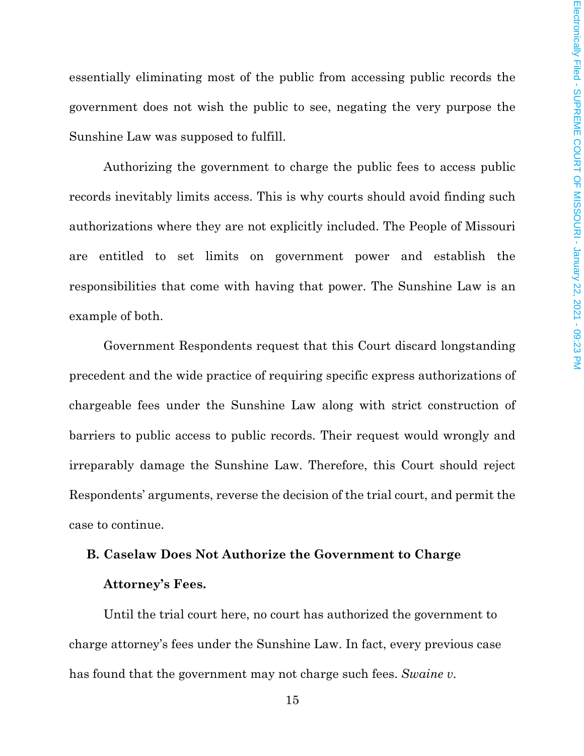essentially eliminating most of the public from accessing public records the government does not wish the public to see, negating the very purpose the Sunshine Law was supposed to fulfill.

Authorizing the government to charge the public fees to access public records inevitably limits access. This is why courts should avoid finding such authorizations where they are not explicitly included. The People of Missouri are entitled to set limits on government power and establish the responsibilities that come with having that power. The Sunshine Law is an example of both.

Government Respondents request that this Court discard longstanding precedent and the wide practice of requiring specific express authorizations of chargeable fees under the Sunshine Law along with strict construction of barriers to public access to public records. Their request would wrongly and irreparably damage the Sunshine Law. Therefore, this Court should reject Respondents' arguments, reverse the decision of the trial court, and permit the case to continue.

# **B. Caselaw Does Not Authorize the Government to Charge Attorney's Fees.**

Until the trial court here, no court has authorized the government to charge attorney's fees under the Sunshine Law. In fact, every previous case has found that the government may not charge such fees. *Swaine v.*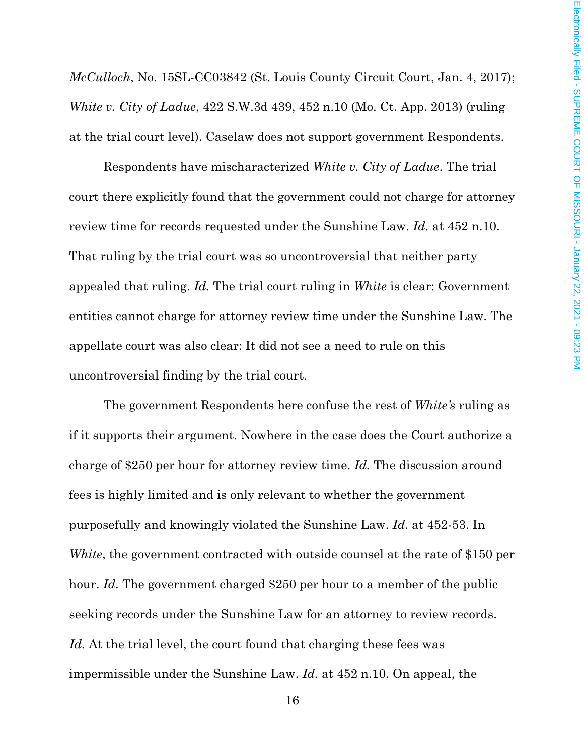*McCulloch*, No. 15SL-CC03842 (St. Louis County Circuit Court, Jan. 4, 2017); *White v. City of Ladue*, 422 S.W.3d 439, 452 n.10 (Mo. Ct. App. 2013) (ruling at the trial court level). Caselaw does not support government Respondents.

Respondents have mischaracterized *White v. City of Ladue*. The trial court there explicitly found that the government could not charge for attorney review time for records requested under the Sunshine Law. *Id.* at 452 n.10. That ruling by the trial court was so uncontroversial that neither party appealed that ruling. *Id.* The trial court ruling in *White* is clear: Government entities cannot charge for attorney review time under the Sunshine Law. The appellate court was also clear: It did not see a need to rule on this uncontroversial finding by the trial court.

The government Respondents here confuse the rest of *White's* ruling as if it supports their argument. Nowhere in the case does the Court authorize a charge of \$250 per hour for attorney review time. *Id.* The discussion around fees is highly limited and is only relevant to whether the government purposefully and knowingly violated the Sunshine Law. *Id.* at 452-53. In *White*, the government contracted with outside counsel at the rate of \$150 per hour. *Id.* The government charged \$250 per hour to a member of the public seeking records under the Sunshine Law for an attorney to review records. Id. At the trial level, the court found that charging these fees was impermissible under the Sunshine Law. *Id.* at 452 n.10. On appeal, the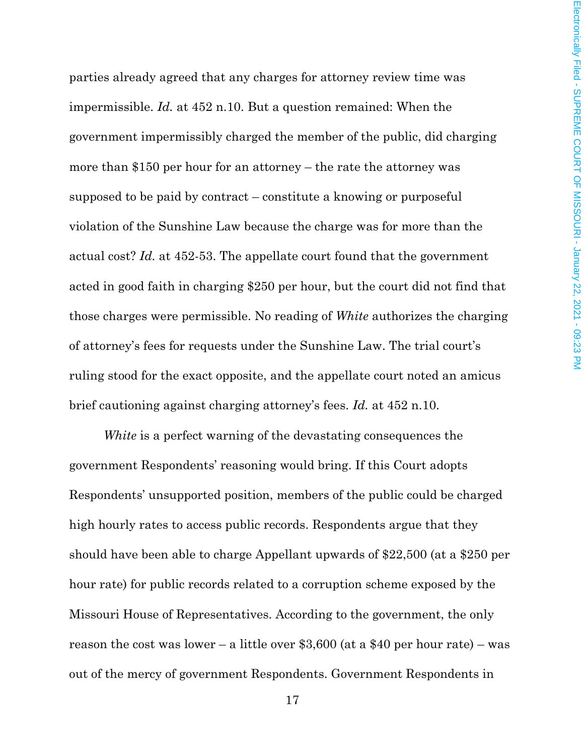parties already agreed that any charges for attorney review time was impermissible. *Id.* at 452 n.10. But a question remained: When the government impermissibly charged the member of the public, did charging more than \$150 per hour for an attorney – the rate the attorney was supposed to be paid by contract – constitute a knowing or purposeful violation of the Sunshine Law because the charge was for more than the actual cost? *Id.* at 452-53. The appellate court found that the government acted in good faith in charging \$250 per hour, but the court did not find that those charges were permissible. No reading of *White* authorizes the charging of attorney's fees for requests under the Sunshine Law. The trial court's ruling stood for the exact opposite, and the appellate court noted an amicus brief cautioning against charging attorney's fees. *Id.* at 452 n.10.

*White* is a perfect warning of the devastating consequences the government Respondents' reasoning would bring. If this Court adopts Respondents' unsupported position, members of the public could be charged high hourly rates to access public records. Respondents argue that they should have been able to charge Appellant upwards of \$22,500 (at a \$250 per hour rate) for public records related to a corruption scheme exposed by the Missouri House of Representatives. According to the government, the only reason the cost was lower – a little over \$3,600 (at a \$40 per hour rate) – was out of the mercy of government Respondents. Government Respondents in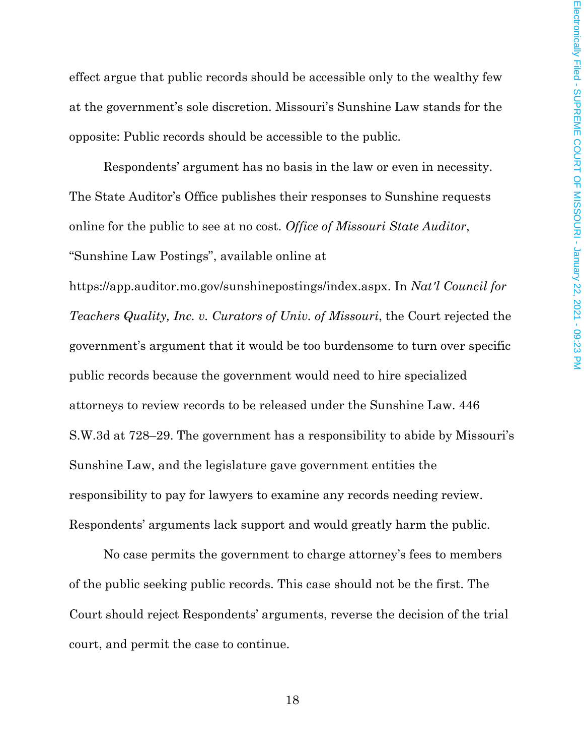effect argue that public records should be accessible only to the wealthy few at the government's sole discretion. Missouri's Sunshine Law stands for the opposite: Public records should be accessible to the public.

Respondents' argument has no basis in the law or even in necessity. The State Auditor's Office publishes their responses to Sunshine requests online for the public to see at no cost. *Office of Missouri State Auditor*, "Sunshine Law Postings", available online at

https://app.auditor.mo.gov/sunshinepostings/index.aspx. In *Nat'l Council for Teachers Quality, Inc. v. Curators of Univ. of Missouri*, the Court rejected the government's argument that it would be too burdensome to turn over specific public records because the government would need to hire specialized attorneys to review records to be released under the Sunshine Law. 446 S.W.3d at 728–29. The government has a responsibility to abide by Missouri's Sunshine Law, and the legislature gave government entities the responsibility to pay for lawyers to examine any records needing review. Respondents' arguments lack support and would greatly harm the public.

No case permits the government to charge attorney's fees to members of the public seeking public records. This case should not be the first. The Court should reject Respondents' arguments, reverse the decision of the trial court, and permit the case to continue.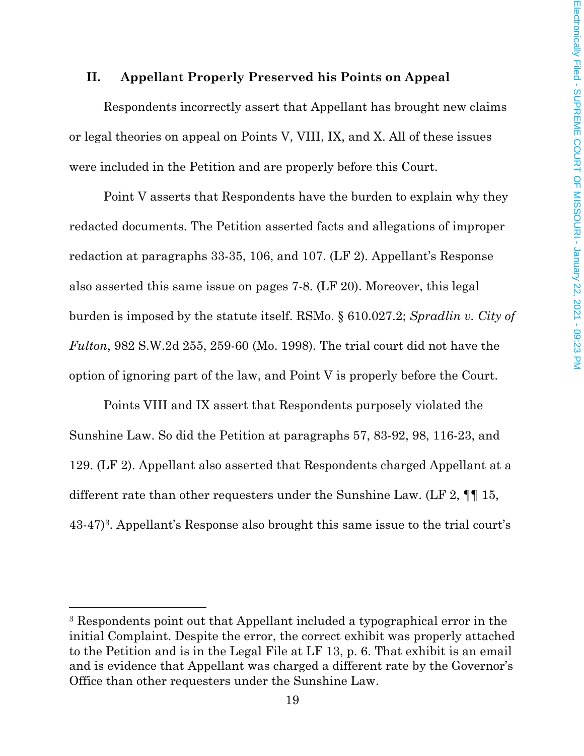#### **II. Appellant Properly Preserved his Points on Appeal**

Respondents incorrectly assert that Appellant has brought new claims or legal theories on appeal on Points V, VIII, IX, and X. All of these issues were included in the Petition and are properly before this Court.

Point V asserts that Respondents have the burden to explain why they redacted documents. The Petition asserted facts and allegations of improper redaction at paragraphs 33-35, 106, and 107. (LF 2). Appellant's Response also asserted this same issue on pages 7-8. (LF 20). Moreover, this legal burden is imposed by the statute itself. RSMo. § 610.027.2; *Spradlin v. City of Fulton*, 982 S.W.2d 255, 259-60 (Mo. 1998). The trial court did not have the option of ignoring part of the law, and Point V is properly before the Court.

Points VIII and IX assert that Respondents purposely violated the Sunshine Law. So did the Petition at paragraphs 57, 83-92, 98, 116-23, and 129. (LF 2). Appellant also asserted that Respondents charged Appellant at a different rate than other requesters under the Sunshine Law. (LF 2,  $\P\P$  15, 43-47)3. Appellant's Response also brought this same issue to the trial court's

<sup>3</sup> Respondents point out that Appellant included a typographical error in the initial Complaint. Despite the error, the correct exhibit was properly attached to the Petition and is in the Legal File at LF 13, p. 6. That exhibit is an email and is evidence that Appellant was charged a different rate by the Governor's Office than other requesters under the Sunshine Law.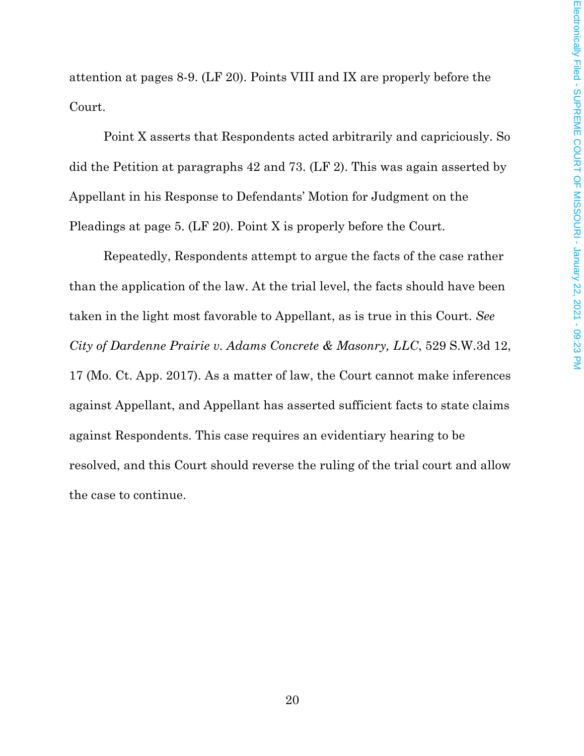attention at pages 8-9. (LF 20). Points VIII and IX are properly before the Court.

Point X asserts that Respondents acted arbitrarily and capriciously. So did the Petition at paragraphs 42 and 73. (LF 2). This was again asserted by Appellant in his Response to Defendants' Motion for Judgment on the Pleadings at page 5. (LF 20). Point X is properly before the Court.

Repeatedly, Respondents attempt to argue the facts of the case rather than the application of the law. At the trial level, the facts should have been taken in the light most favorable to Appellant, as is true in this Court. *See City of Dardenne Prairie v. Adams Concrete & Masonry, LLC*, 529 S.W.3d 12, 17 (Mo. Ct. App. 2017). As a matter of law, the Court cannot make inferences against Appellant, and Appellant has asserted sufficient facts to state claims against Respondents. This case requires an evidentiary hearing to be resolved, and this Court should reverse the ruling of the trial court and allow the case to continue.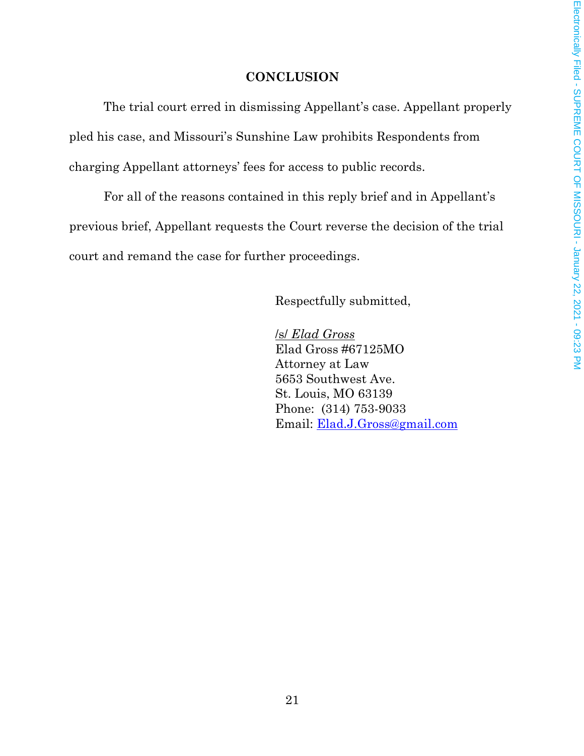## **CONCLUSION**

The trial court erred in dismissing Appellant's case. Appellant properly pled his case, and Missouri's Sunshine Law prohibits Respondents from charging Appellant attorneys' fees for access to public records.

For all of the reasons contained in this reply brief and in Appellant's previous brief, Appellant requests the Court reverse the decision of the trial court and remand the case for further proceedings.

Respectfully submitted,

/s/ *Elad Gross*  Elad Gross #67125MO Attorney at Law 5653 Southwest Ave. St. Louis, MO 63139 Phone: (314) 753-9033 Email: Elad.J.Gross@gmail.com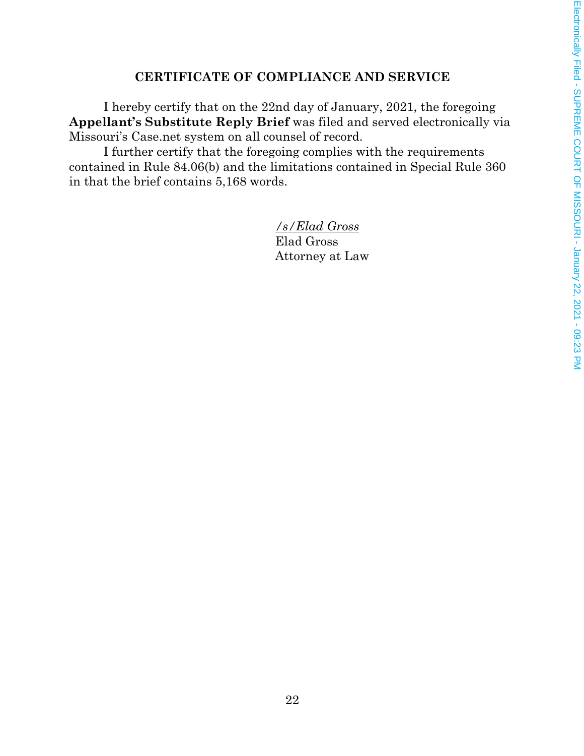### **CERTIFICATE OF COMPLIANCE AND SERVICE**

I hereby certify that on the 22nd day of January, 2021, the foregoing **Appellant's Substitute Reply Brief** was filed and served electronically via Missouri's Case.net system on all counsel of record.

I further certify that the foregoing complies with the requirements contained in Rule 84.06(b) and the limitations contained in Special Rule 360 in that the brief contains 5,168 words.

> */s/Elad Gross*  Elad Gross Attorney at Law